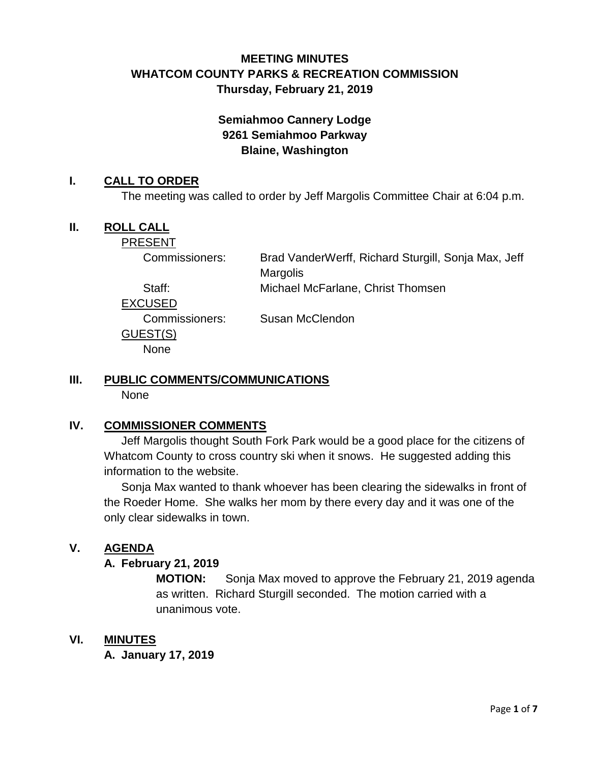# **MEETING MINUTES WHATCOM COUNTY PARKS & RECREATION COMMISSION Thursday, February 21, 2019**

# **Semiahmoo Cannery Lodge 9261 Semiahmoo Parkway Blaine, Washington**

### **I. CALL TO ORDER**

The meeting was called to order by Jeff Margolis Committee Chair at 6:04 p.m.

### **II.** ROLL CALL

PRESENT

Commissioners: Brad VanderWerff, Richard Sturgill, Sonja Max, Jeff Margolis

Staff: Michael McFarlane, Christ Thomsen

EXCUSED

GUEST(S) None

Commissioners: Susan McClendon

# **III. PUBLIC COMMENTS/COMMUNICATIONS**

None

## **IV. COMMISSIONER COMMENTS**

Jeff Margolis thought South Fork Park would be a good place for the citizens of Whatcom County to cross country ski when it snows. He suggested adding this information to the website.

Sonja Max wanted to thank whoever has been clearing the sidewalks in front of the Roeder Home. She walks her mom by there every day and it was one of the only clear sidewalks in town.

## **V. AGENDA**

### **A. February 21, 2019**

**MOTION:** Sonja Max moved to approve the February 21, 2019 agenda as written. Richard Sturgill seconded. The motion carried with a unanimous vote.

### **VI. MINUTES**

**A. January 17, 2019**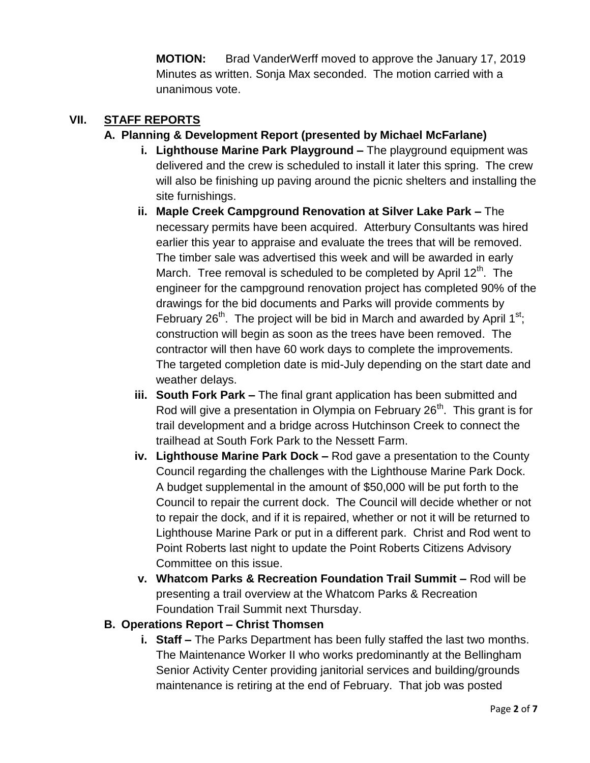**MOTION:** Brad VanderWerff moved to approve the January 17, 2019 Minutes as written. Sonja Max seconded. The motion carried with a unanimous vote.

### **VII. STAFF REPORTS**

### **A. Planning & Development Report (presented by Michael McFarlane)**

- **i. Lighthouse Marine Park Playground –** The playground equipment was delivered and the crew is scheduled to install it later this spring. The crew will also be finishing up paving around the picnic shelters and installing the site furnishings.
- **ii. Maple Creek Campground Renovation at Silver Lake Park –** The necessary permits have been acquired. Atterbury Consultants was hired earlier this year to appraise and evaluate the trees that will be removed. The timber sale was advertised this week and will be awarded in early March. Tree removal is scheduled to be completed by April  $12<sup>th</sup>$ . The engineer for the campground renovation project has completed 90% of the drawings for the bid documents and Parks will provide comments by February 26<sup>th</sup>. The project will be bid in March and awarded by April  $1^{st}$ ; construction will begin as soon as the trees have been removed. The contractor will then have 60 work days to complete the improvements. The targeted completion date is mid-July depending on the start date and weather delays.
- **iii. South Fork Park –** The final grant application has been submitted and Rod will give a presentation in Olympia on February  $26<sup>th</sup>$ . This grant is for trail development and a bridge across Hutchinson Creek to connect the trailhead at South Fork Park to the Nessett Farm.
- **iv. Lighthouse Marine Park Dock –** Rod gave a presentation to the County Council regarding the challenges with the Lighthouse Marine Park Dock. A budget supplemental in the amount of \$50,000 will be put forth to the Council to repair the current dock. The Council will decide whether or not to repair the dock, and if it is repaired, whether or not it will be returned to Lighthouse Marine Park or put in a different park. Christ and Rod went to Point Roberts last night to update the Point Roberts Citizens Advisory Committee on this issue.
- **v. Whatcom Parks & Recreation Foundation Trail Summit –** Rod will be presenting a trail overview at the Whatcom Parks & Recreation Foundation Trail Summit next Thursday.

### **B. Operations Report – Christ Thomsen**

**i. Staff –** The Parks Department has been fully staffed the last two months. The Maintenance Worker II who works predominantly at the Bellingham Senior Activity Center providing janitorial services and building/grounds maintenance is retiring at the end of February. That job was posted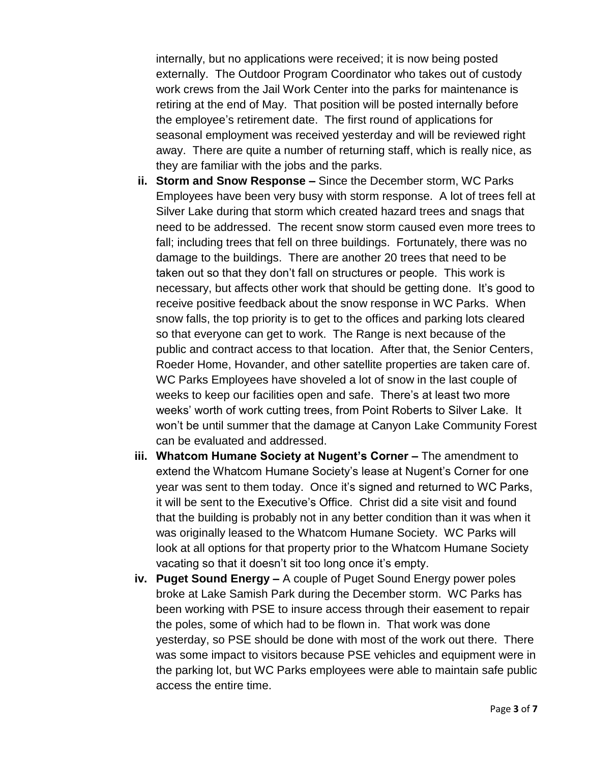internally, but no applications were received; it is now being posted externally. The Outdoor Program Coordinator who takes out of custody work crews from the Jail Work Center into the parks for maintenance is retiring at the end of May. That position will be posted internally before the employee's retirement date. The first round of applications for seasonal employment was received yesterday and will be reviewed right away. There are quite a number of returning staff, which is really nice, as they are familiar with the jobs and the parks.

- **ii. Storm and Snow Response –** Since the December storm, WC Parks Employees have been very busy with storm response. A lot of trees fell at Silver Lake during that storm which created hazard trees and snags that need to be addressed. The recent snow storm caused even more trees to fall; including trees that fell on three buildings. Fortunately, there was no damage to the buildings. There are another 20 trees that need to be taken out so that they don't fall on structures or people. This work is necessary, but affects other work that should be getting done. It's good to receive positive feedback about the snow response in WC Parks. When snow falls, the top priority is to get to the offices and parking lots cleared so that everyone can get to work. The Range is next because of the public and contract access to that location. After that, the Senior Centers, Roeder Home, Hovander, and other satellite properties are taken care of. WC Parks Employees have shoveled a lot of snow in the last couple of weeks to keep our facilities open and safe. There's at least two more weeks' worth of work cutting trees, from Point Roberts to Silver Lake. It won't be until summer that the damage at Canyon Lake Community Forest can be evaluated and addressed.
- **iii. Whatcom Humane Society at Nugent's Corner –** The amendment to extend the Whatcom Humane Society's lease at Nugent's Corner for one year was sent to them today. Once it's signed and returned to WC Parks, it will be sent to the Executive's Office. Christ did a site visit and found that the building is probably not in any better condition than it was when it was originally leased to the Whatcom Humane Society. WC Parks will look at all options for that property prior to the Whatcom Humane Society vacating so that it doesn't sit too long once it's empty.
- **iv. Puget Sound Energy –** A couple of Puget Sound Energy power poles broke at Lake Samish Park during the December storm. WC Parks has been working with PSE to insure access through their easement to repair the poles, some of which had to be flown in. That work was done yesterday, so PSE should be done with most of the work out there. There was some impact to visitors because PSE vehicles and equipment were in the parking lot, but WC Parks employees were able to maintain safe public access the entire time.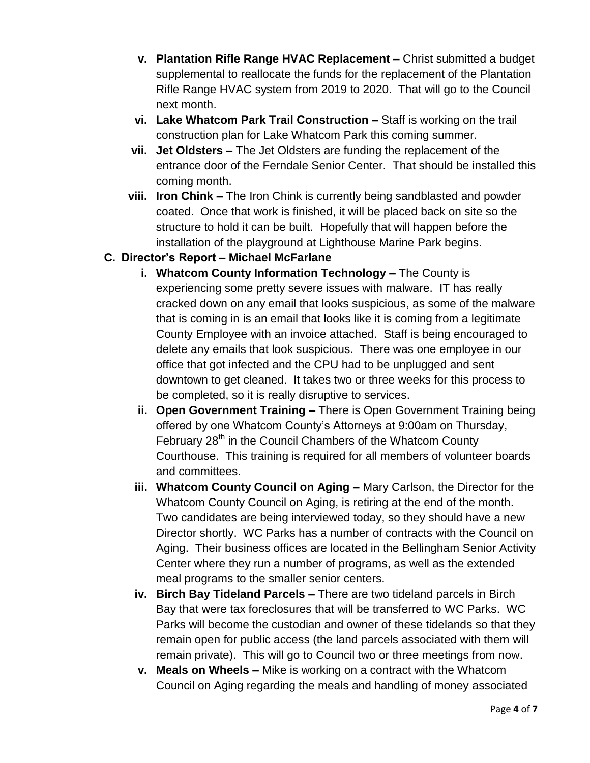- **v. Plantation Rifle Range HVAC Replacement –** Christ submitted a budget supplemental to reallocate the funds for the replacement of the Plantation Rifle Range HVAC system from 2019 to 2020. That will go to the Council next month.
- **vi. Lake Whatcom Park Trail Construction –** Staff is working on the trail construction plan for Lake Whatcom Park this coming summer.
- **vii. Jet Oldsters –** The Jet Oldsters are funding the replacement of the entrance door of the Ferndale Senior Center. That should be installed this coming month.
- **viii. Iron Chink –** The Iron Chink is currently being sandblasted and powder coated. Once that work is finished, it will be placed back on site so the structure to hold it can be built. Hopefully that will happen before the installation of the playground at Lighthouse Marine Park begins.

# **C. Director's Report – Michael McFarlane**

- **i. Whatcom County Information Technology –** The County is experiencing some pretty severe issues with malware. IT has really cracked down on any email that looks suspicious, as some of the malware that is coming in is an email that looks like it is coming from a legitimate County Employee with an invoice attached. Staff is being encouraged to delete any emails that look suspicious. There was one employee in our office that got infected and the CPU had to be unplugged and sent downtown to get cleaned. It takes two or three weeks for this process to be completed, so it is really disruptive to services.
- **ii. Open Government Training –** There is Open Government Training being offered by one Whatcom County's Attorneys at 9:00am on Thursday, February 28<sup>th</sup> in the Council Chambers of the Whatcom County Courthouse. This training is required for all members of volunteer boards and committees.
- **iii. Whatcom County Council on Aging –** Mary Carlson, the Director for the Whatcom County Council on Aging, is retiring at the end of the month. Two candidates are being interviewed today, so they should have a new Director shortly. WC Parks has a number of contracts with the Council on Aging. Their business offices are located in the Bellingham Senior Activity Center where they run a number of programs, as well as the extended meal programs to the smaller senior centers.
- **iv. Birch Bay Tideland Parcels –** There are two tideland parcels in Birch Bay that were tax foreclosures that will be transferred to WC Parks. WC Parks will become the custodian and owner of these tidelands so that they remain open for public access (the land parcels associated with them will remain private). This will go to Council two or three meetings from now.
- **v. Meals on Wheels –** Mike is working on a contract with the Whatcom Council on Aging regarding the meals and handling of money associated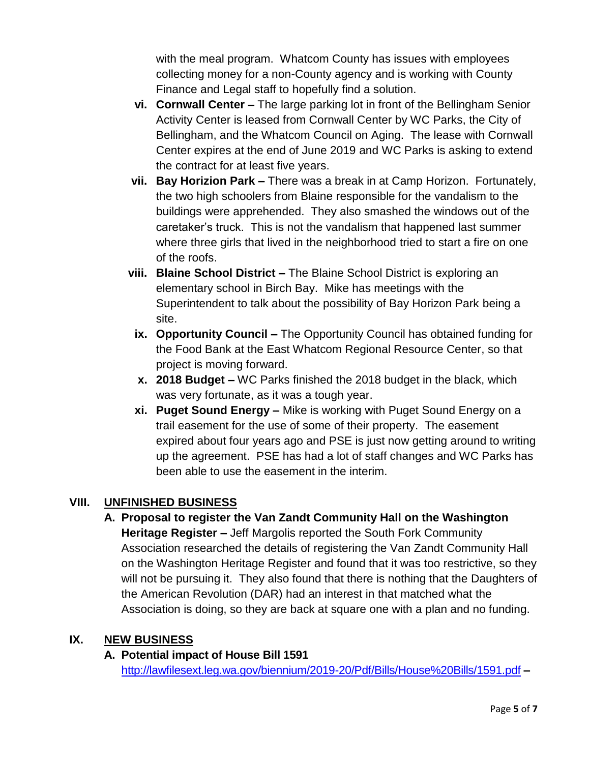with the meal program. Whatcom County has issues with employees collecting money for a non-County agency and is working with County Finance and Legal staff to hopefully find a solution.

- **vi. Cornwall Center –** The large parking lot in front of the Bellingham Senior Activity Center is leased from Cornwall Center by WC Parks, the City of Bellingham, and the Whatcom Council on Aging. The lease with Cornwall Center expires at the end of June 2019 and WC Parks is asking to extend the contract for at least five years.
- **vii. Bay Horizion Park –** There was a break in at Camp Horizon. Fortunately, the two high schoolers from Blaine responsible for the vandalism to the buildings were apprehended. They also smashed the windows out of the caretaker's truck. This is not the vandalism that happened last summer where three girls that lived in the neighborhood tried to start a fire on one of the roofs.
- **viii. Blaine School District –** The Blaine School District is exploring an elementary school in Birch Bay. Mike has meetings with the Superintendent to talk about the possibility of Bay Horizon Park being a site.
- **ix. Opportunity Council –** The Opportunity Council has obtained funding for the Food Bank at the East Whatcom Regional Resource Center, so that project is moving forward.
- **x. 2018 Budget –** WC Parks finished the 2018 budget in the black, which was very fortunate, as it was a tough year.
- **xi. Puget Sound Energy –** Mike is working with Puget Sound Energy on a trail easement for the use of some of their property. The easement expired about four years ago and PSE is just now getting around to writing up the agreement. PSE has had a lot of staff changes and WC Parks has been able to use the easement in the interim.

## **VIII. UNFINISHED BUSINESS**

**A. Proposal to register the Van Zandt Community Hall on the Washington Heritage Register –** Jeff Margolis reported the South Fork Community Association researched the details of registering the Van Zandt Community Hall on the Washington Heritage Register and found that it was too restrictive, so they will not be pursuing it. They also found that there is nothing that the Daughters of the American Revolution (DAR) had an interest in that matched what the Association is doing, so they are back at square one with a plan and no funding.

# **IX. NEW BUSINESS**

### **A. Potential impact of House Bill 1591** [http://lawfilesext.leg.wa.gov/biennium/2019-20/Pdf/Bills/House%20Bills/1591.pdf](http://lawfilesext.leg.wa.gov/biennium/2019-20/Pdf/Bills/House%20Bills/1591.pdf1) **–**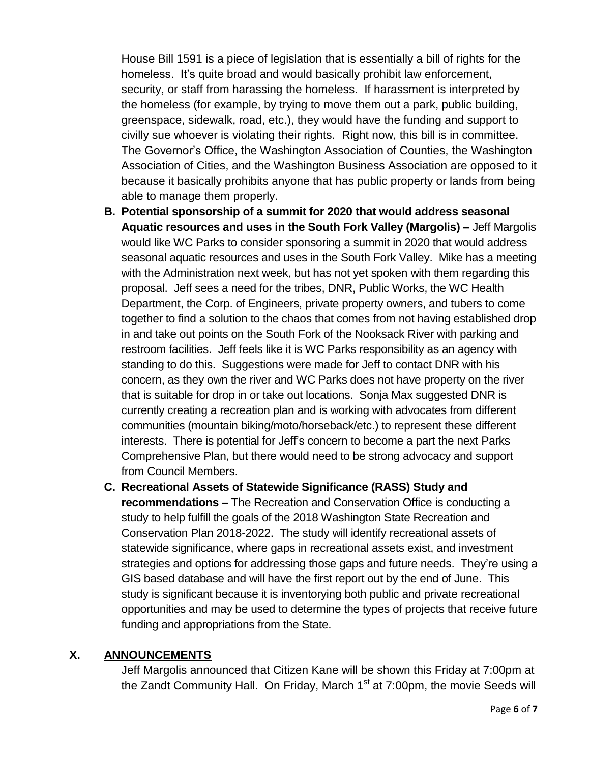House Bill 1591 is a piece of legislation that is essentially a bill of rights for the homeless. It's quite broad and would basically prohibit law enforcement, security, or staff from harassing the homeless. If harassment is interpreted by the homeless (for example, by trying to move them out a park, public building, greenspace, sidewalk, road, etc.), they would have the funding and support to civilly sue whoever is violating their rights. Right now, this bill is in committee. The Governor's Office, the Washington Association of Counties, the Washington Association of Cities, and the Washington Business Association are opposed to it because it basically prohibits anyone that has public property or lands from being able to manage them properly.

- **B. Potential sponsorship of a summit for 2020 that would address seasonal Aquatic resources and uses in the South Fork Valley (Margolis) –** Jeff Margolis would like WC Parks to consider sponsoring a summit in 2020 that would address seasonal aquatic resources and uses in the South Fork Valley. Mike has a meeting with the Administration next week, but has not yet spoken with them regarding this proposal. Jeff sees a need for the tribes, DNR, Public Works, the WC Health Department, the Corp. of Engineers, private property owners, and tubers to come together to find a solution to the chaos that comes from not having established drop in and take out points on the South Fork of the Nooksack River with parking and restroom facilities. Jeff feels like it is WC Parks responsibility as an agency with standing to do this. Suggestions were made for Jeff to contact DNR with his concern, as they own the river and WC Parks does not have property on the river that is suitable for drop in or take out locations. Sonja Max suggested DNR is currently creating a recreation plan and is working with advocates from different communities (mountain biking/moto/horseback/etc.) to represent these different interests. There is potential for Jeff's concern to become a part the next Parks Comprehensive Plan, but there would need to be strong advocacy and support from Council Members.
- **C. Recreational Assets of Statewide Significance (RASS) Study and recommendations –** The Recreation and Conservation Office is conducting a study to help fulfill the goals of the 2018 Washington State Recreation and Conservation Plan 2018-2022. The study will identify recreational assets of statewide significance, where gaps in recreational assets exist, and investment strategies and options for addressing those gaps and future needs. They're using a GIS based database and will have the first report out by the end of June. This study is significant because it is inventorying both public and private recreational opportunities and may be used to determine the types of projects that receive future funding and appropriations from the State.

## **X. ANNOUNCEMENTS**

Jeff Margolis announced that Citizen Kane will be shown this Friday at 7:00pm at the Zandt Community Hall. On Friday, March  $1<sup>st</sup>$  at 7:00pm, the movie Seeds will